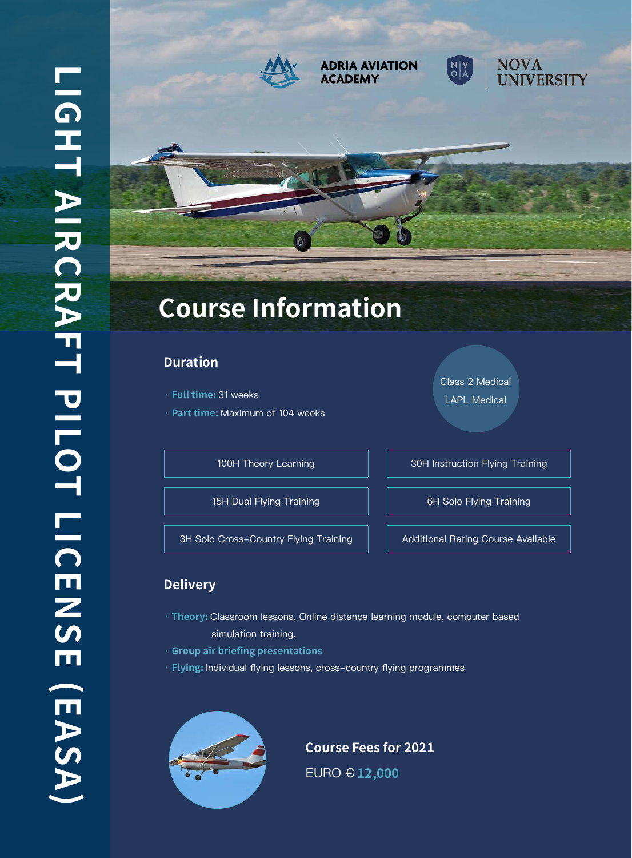

#### **ADRIA AVIATION ACADEMY**





# **Course Information**

### **Duration**

- **· Full time:** 31 weeks
- **· Part time:** Maximum of 104 weeks

15H Dual Flying Training **6H** Solo Flying Training

3H Solo Cross-Country Flying Training | | Additional Rating Course Available

Class 2 Medical

LAPL Medical

100H Theory Learning **100H** 30H Instruction Flying Training

## **Delivery**

- **· Theory:** Classroom lessons, Online distance learning module, computer based simulation training.
- **· Group air briefing presentations**
- **· Flying:** Individual flying lessons, cross-country flying programmes



**Course Fees for 2021** EURO € **12,000**